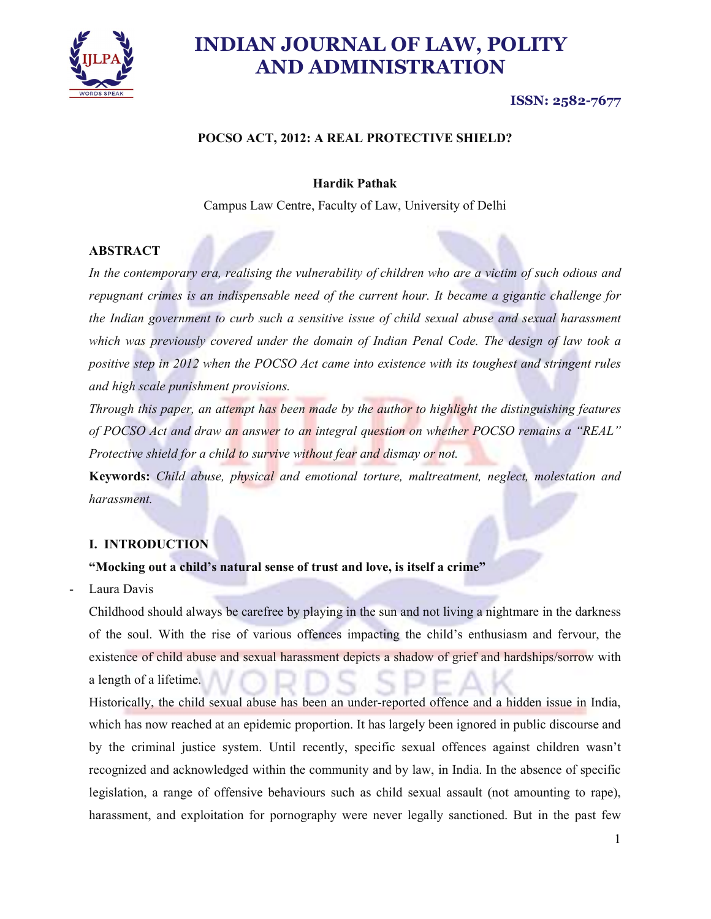

### ISSN: 2582-7677

#### POCSO ACT, 2012: A REAL PROTECTIVE SHIELD?

#### Hardik Pathak

Campus Law Centre, Faculty of Law, University of Delhi

#### **ABSTRACT**

In the contemporary era, realising the vulnerability of children who are a victim of such odious and repugnant crimes is an indispensable need of the current hour. It became a gigantic challenge for the Indian government to curb such a sensitive issue of child sexual abuse and sexual harassment which was previously covered under the domain of Indian Penal Code. The design of law took a positive step in 2012 when the POCSO Act came into existence with its toughest and stringent rules and high scale punishment provisions.

Through this paper, an attempt has been made by the author to highlight the distinguishing features of POCSO Act and draw an answer to an integral question on whether POCSO remains a "REAL" Protective shield for a child to survive without fear and dismay or not.

Keywords: Child abuse, physical and emotional torture, maltreatment, neglect, molestation and harassment.

#### I. INTRODUCTION

#### "Mocking out a child's natural sense of trust and love, is itself a crime"

Laura Davis

Childhood should always be carefree by playing in the sun and not living a nightmare in the darkness of the soul. With the rise of various offences impacting the child's enthusiasm and fervour, the existence of child abuse and sexual harassment depicts a shadow of grief and hardships/sorrow with a length of a lifetime.

Historically, the child sexual abuse has been an under-reported offence and a hidden issue in India, which has now reached at an epidemic proportion. It has largely been ignored in public discourse and by the criminal justice system. Until recently, specific sexual offences against children wasn't recognized and acknowledged within the community and by law, in India. In the absence of specific legislation, a range of offensive behaviours such as child sexual assault (not amounting to rape), harassment, and exploitation for pornography were never legally sanctioned. But in the past few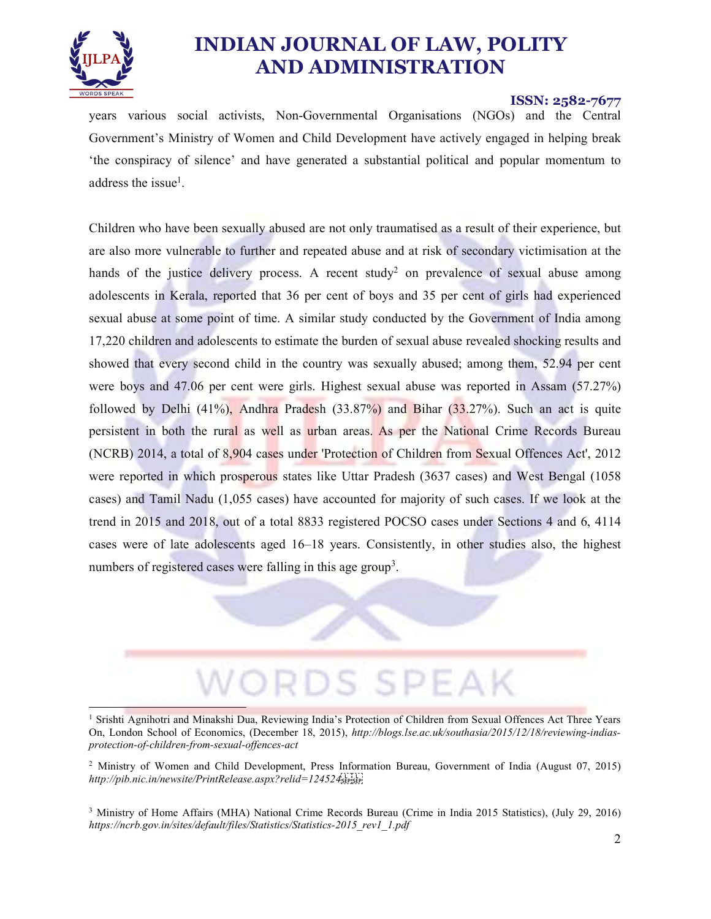

#### ISSN: 2582-7677

years various social activists, Non-Governmental Organisations (NGOs) and the Central Government's Ministry of Women and Child Development have actively engaged in helping break 'the conspiracy of silence' and have generated a substantial political and popular momentum to address the issue<sup>1</sup>.

. Children who have been sexually abused are not only traumatised as a result of their experience, but are also more vulnerable to further and repeated abuse and at risk of secondary victimisation at the hands of the justice delivery process. A recent study<sup>2</sup> on prevalence of sexual abuse among adolescents in Kerala, reported that 36 per cent of boys and 35 per cent of girls had experienced sexual abuse at some point of time. A similar study conducted by the Government of India among 17,220 children and adolescents to estimate the burden of sexual abuse revealed shocking results and showed that every second child in the country was sexually abused; among them, 52.94 per cent were boys and 47.06 per cent were girls. Highest sexual abuse was reported in Assam (57.27%) followed by Delhi (41%), Andhra Pradesh (33.87%) and Bihar (33.27%). Such an act is quite persistent in both the rural as well as urban areas. As per the National Crime Records Bureau (NCRB) 2014, a total of 8,904 cases under 'Protection of Children from Sexual Offences Act', 2012 were reported in which prosperous states like Uttar Pradesh (3637 cases) and West Bengal (1058 cases) and Tamil Nadu (1,055 cases) have accounted for majority of such cases. If we look at the trend in 2015 and 2018, out of a total 8833 registered POCSO cases under Sections 4 and 6, 4114 cases were of late adolescents aged 16–18 years. Consistently, in other studies also, the highest numbers of registered cases were falling in this age group<sup>3</sup>. .



<sup>1</sup> Srishti Agnihotri and Minakshi Dua, Reviewing India's Protection of Children from Sexual Offences Act Three Years On, London School of Economics, (December 18, 2015), http://blogs.lse.ac.uk/southasia/2015/12/18/reviewing-indiasprotection-of-children-from-sexual-offences-act

<sup>&</sup>lt;sup>2</sup> Ministry of Women and Child Development, Press Information Bureau, Government of India (August 07, 2015) http://pib.nic.in/newsite/PrintRelease.aspx?relid=124524sterster

<sup>3</sup> Ministry of Home Affairs (MHA) National Crime Records Bureau (Crime in India 2015 Statistics), (July 29, 2016) https://ncrb.gov.in/sites/default/files/Statistics/Statistics-2015\_rev1\_1.pdf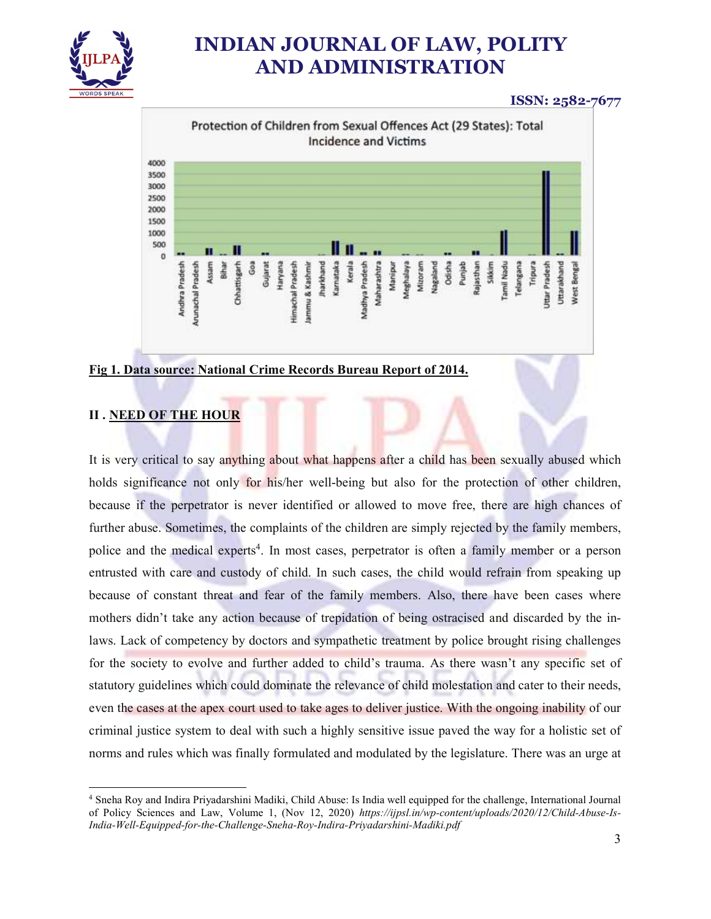

### ISSN: 2582-7677



#### Fig 1. Data source: National Crime Records Bureau Report of 2014.

### II . NEED OF THE HOUR

It is very critical to say anything about what happens after a child has been sexually abused which holds significance not only for his/her well-being but also for the protection of other children, because if the perpetrator is never identified or allowed to move free, there are high chances of further abuse. Sometimes, the complaints of the children are simply rejected by the family members, police and the medical experts<sup>4</sup>. In most cases, perpetrator is often a family member or a person entrusted with care and custody of child. In such cases, the child would refrain from speaking up because of constant threat and fear of the family members. Also, there have been cases where mothers didn't take any action because of trepidation of being ostracised and discarded by the inlaws. Lack of competency by doctors and sympathetic treatment by police brought rising challenges for the society to evolve and further added to child's trauma. As there wasn't any specific set of statutory guidelines which could dominate the relevance of child molestation and cater to their needs, even the cases at the apex court used to take ages to deliver justice. With the ongoing inability of our criminal justice system to deal with such a highly sensitive issue paved the way for a holistic set of norms and rules which was finally formulated and modulated by the legislature. There was an urge at

 <sup>4</sup> Sneha Roy and Indira Priyadarshini Madiki, Child Abuse: Is India well equipped for the challenge, International Journal of Policy Sciences and Law, Volume 1, (Nov 12, 2020) https://ijpsl.in/wp-content/uploads/2020/12/Child-Abuse-Is-India-Well-Equipped-for-the-Challenge-Sneha-Roy-Indira-Priyadarshini-Madiki.pdf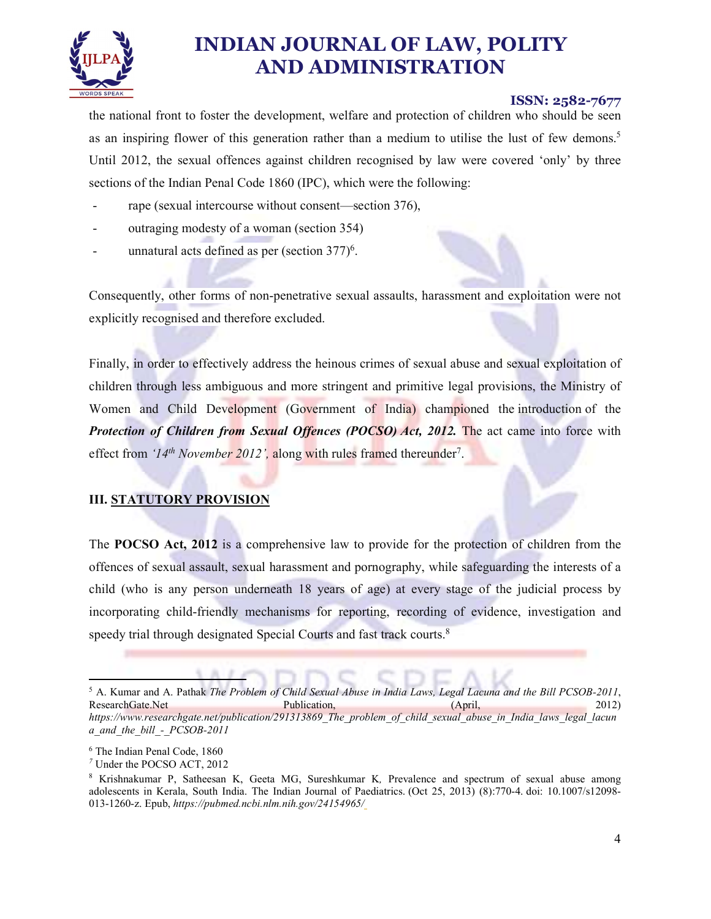

#### ISSN: 2582-7677

the national front to foster the development, welfare and protection of children who should be seen as an inspiring flower of this generation rather than a medium to utilise the lust of few demons.<sup>5</sup> Until 2012, the sexual offences against children recognised by law were covered 'only' by three sections of the Indian Penal Code 1860 (IPC), which were the following:<br>- rape (sexual intercourse without consent—section 376),<br>outraging modesty of a woman (section 354)<br>- unnatural acts defined as per (section 377)<sup>6</sup>.

- 
- 
- 

. Consequently, other forms of non-penetrative sexual assaults, harassment and exploitation were not explicitly recognised and therefore excluded.

Finally, in order to effectively address the heinous crimes of sexual abuse and sexual exploitation of children through less ambiguous and more stringent and primitive legal provisions, the Ministry of Women and Child Development (Government of India) championed the introduction of the Protection of Children from Sexual Offences (POCSO) Act, 2012. The act came into force with effect from '14<sup>th</sup> November 2012', along with rules framed thereunder<sup>7</sup>.

#### III. STATUTORY PROVISION

The POCSO Act, 2012 is a comprehensive law to provide for the protection of children from the offences of sexual assault, sexual harassment and pornography, while safeguarding the interests of a child (who is any person underneath 18 years of age) at every stage of the judicial process by incorporating child-friendly mechanisms for reporting, recording of evidence, investigation and speedy trial through designated Special Courts and fast track courts.<sup>8</sup>

 $\frac{5 \text{ A} \quad \text{Kumar and A} \quad \text{Pathax} \quad \text{The Problem of} }$ <sup>5</sup> A. Kumar and A. Pathak *The Problem of Child Sexual Abuse in India Laws, Legal Lacuna and the Bill PCSOB-2011,* Publication, (April, 2012) https://www.researchgate.net/publication/291313869\_The\_problem\_of\_child\_sexual\_abuse\_in\_India\_laws\_legal\_lacun a\_and\_the\_bill - PCSOB-2011

The Indian Penal Code, 1860

<sup>7</sup> Under the POCSO ACT, 2012

<sup>8</sup> Krishnakumar P, Satheesan K, Geeta MG, Sureshkumar K, Prevalence and spectrum of sexual abuse among adolescents in Kerala, South India. The Indian Journal of Paediatrics. (Oct 25, 2013) (8):770-4. doi: 10.1007/s12098- 013-1260-z. Epub, https://pubmed.ncbi.nlm.nih.gov/24154965/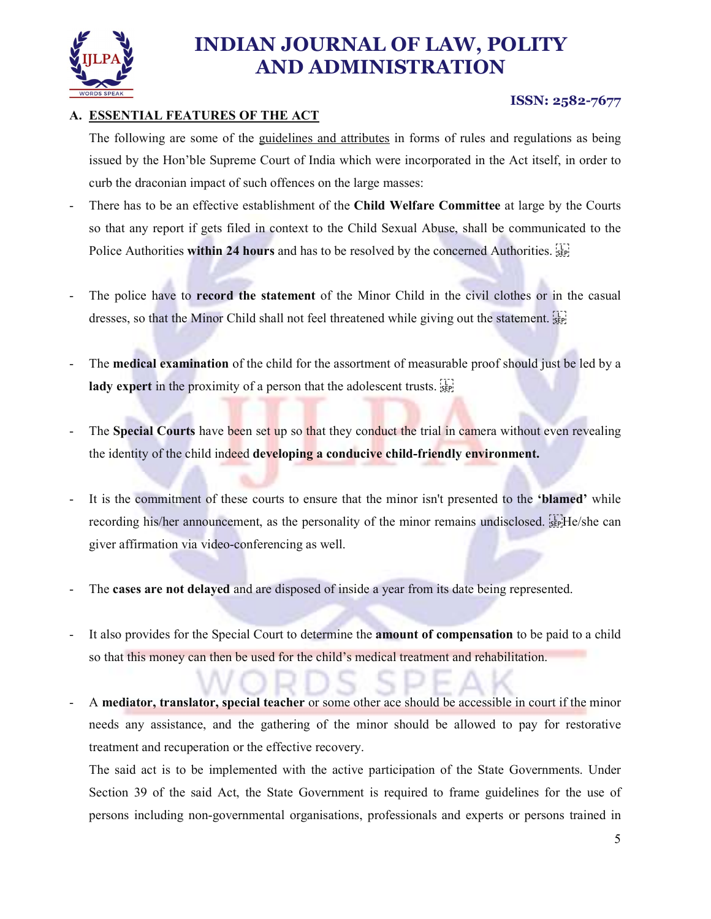

### A. ESSENTIAL FEATURES OF THE ACT

The following are some of the guidelines and attributes in forms of rules and regulations as being issued by the Hon'ble Supreme Court of India which were incorporated in the Act itself, in order to curb the draconian impact of such offences on the large masses:<br>There has to be an effective establishment of the Child Welfare Committee at large by the Courts

- so that any report if gets filed in context to the Child Sexual Abuse, shall be communicated to the Police Authorities within 24 hours and has to be resolved by the concerned Authorities. [SEE]<br>- The police have to record the statement of the Minor Child in the civil clothes or in the casual
- dresses, so that the Minor Child shall not feel threatened while giving out the statement. <br>
The **medical examination** of the child for the assortment of measurable proof should just be led by a
- lady expert in the proximity of a person that the adolescent trusts. <br>
The Special Courts have been set up so that they conduct the trial in camera without even revealing
- the identity of the child indeed developing a conducive child-friendly environment.<br>It is the commitment of these courts to ensure that the minor isn't presented to the 'blamed' while
- recording his/her announcement, as the personality of the minor remains undisclosed. Fighte/she can
- giver affirmation via video-conferencing as well.<br>The **cases are not delayed** and are disposed of inside a year from its date being represented.<br>It also provides for the Special Court to determine the **amount of compensati**
- so that this money can then be used for the child's medical treatment and rehabilitation.<br>A mediator, translator, special teacher or some other ace should be accessible in court if the minor
- needs any assistance, and the gathering of the minor should be allowed to pay for restorative treatment and recuperation or the effective recovery.

The said act is to be implemented with the active participation of the State Governments. Under Section 39 of the said Act, the State Government is required to frame guidelines for the use of persons including non-governmental organisations, professionals and experts or persons trained in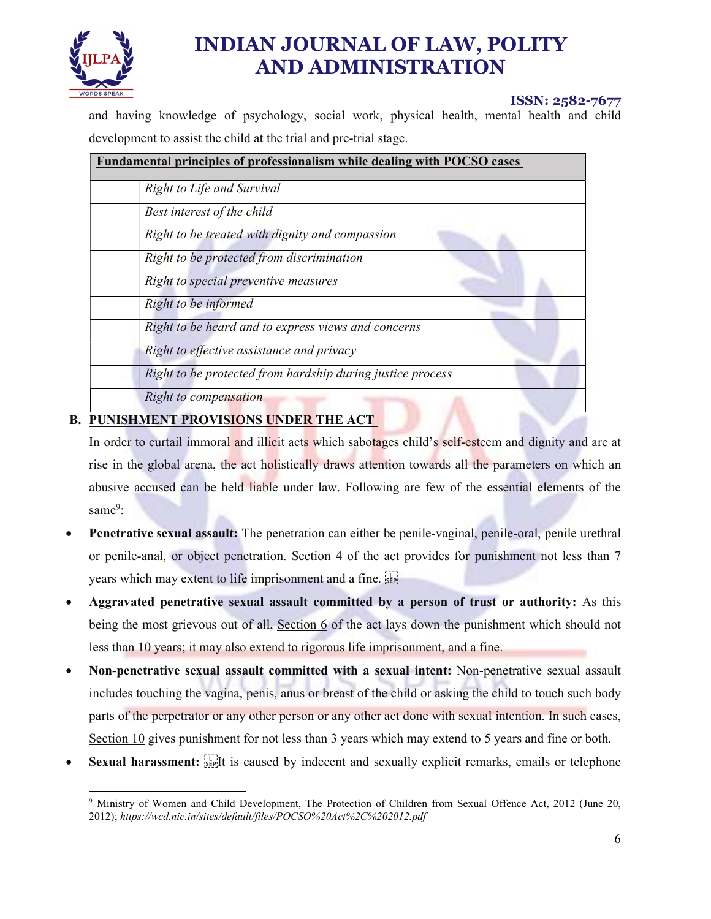

## ISSN: 2582-7677

and having knowledge of psychology, social work, physical health, mental health and child development to assist the child at the trial and pre-trial stage.

| <b>Fundamental principles of professionalism while dealing with POCSO cases</b> |                                                            |
|---------------------------------------------------------------------------------|------------------------------------------------------------|
|                                                                                 | Right to Life and Survival                                 |
|                                                                                 | Best interest of the child                                 |
|                                                                                 | Right to be treated with dignity and compassion            |
|                                                                                 | Right to be protected from discrimination                  |
|                                                                                 | Right to special preventive measures                       |
|                                                                                 | Right to be informed                                       |
|                                                                                 | Right to be heard and to express views and concerns        |
|                                                                                 | Right to effective assistance and privacy                  |
|                                                                                 | Right to be protected from hardship during justice process |
|                                                                                 | Right to compensation                                      |
|                                                                                 |                                                            |

## B. PUNISHMENT PROVISIONS UNDER THE ACT

In order to curtail immoral and illicit acts which sabotages child's self-esteem and dignity and are at rise in the global arena, the act holistically draws attention towards all the parameters on which an abusive accused can be held liable under law. Following are few of the essential elements of the same<sup>9</sup>:

- Penetrative sexual assault: The penetration can either be penile-vaginal, penile-oral, penile urethral or penile-anal, or object penetration. Section 4 of the act provides for punishment not less than 7 years which may extent to life imprisonment and a fine. [17]
- Aggravated penetrative sexual assault committed by a person of trust or authority: As this being the most grievous out of all, Section 6 of the act lays down the punishment which should not less than 10 years; it may also extend to rigorous life imprisonment, and a fine.
- Non-penetrative sexual assault committed with a sexual intent: Non-penetrative sexual assault includes touching the vagina, penis, anus or breast of the child or asking the child to touch such body parts of the perpetrator or any other person or any other act done with sexual intention. In such cases, Section 10 gives punishment for not less than 3 years which may extend to 5 years and fine or both.
- Sexual harassment:  $\mathbb{E}$  is caused by indecent and sexually explicit remarks, emails or telephone

<sup>&</sup>lt;sup>9</sup> Ministry of Women and Child Development, The Protection of Children from Sexual Offence Act, 2012 (June 20, 2012); https://wcd.nic.in/sites/default/files/POCSO%20Act%2C%202012.pdf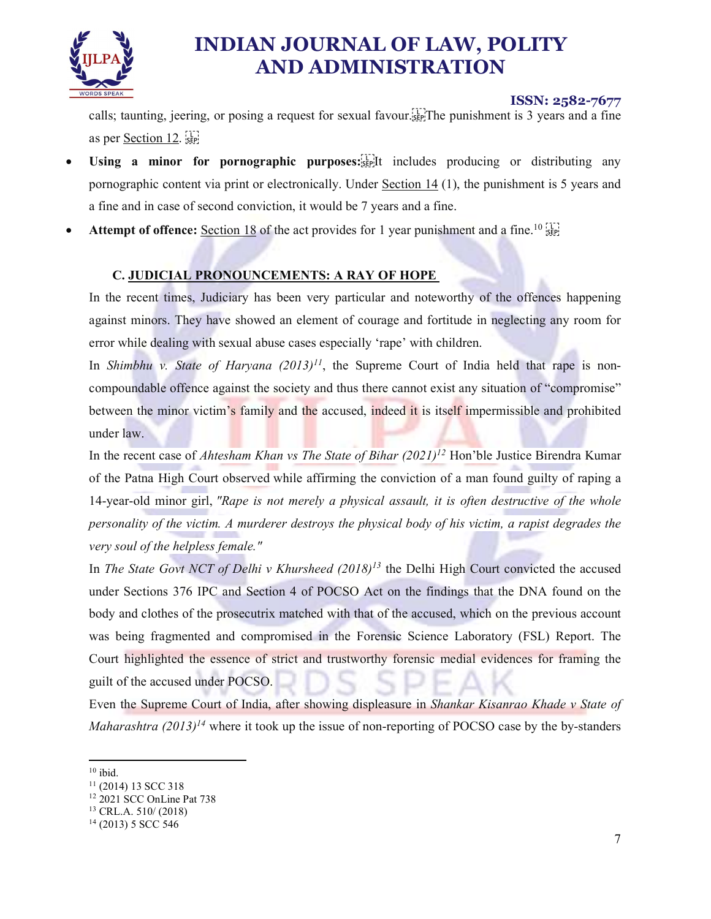

### ISSN: 2582-7677

calls; taunting, jeering, or posing a request for sexual favour.  $\sum_{i=1}^{n}$  The punishment is 3 years and a fine as per Section 12.

- Using a minor for pornographic purposes: $\sum_{s \in P}$  includes producing or distributing any pornographic content via print or electronically. Under Section 14 (1), the punishment is 5 years and a fine and in case of second conviction, it would be 7 years and a fine.
- Attempt of offence: Section 18 of the act provides for 1 year punishment and a fine.<sup>10 [17]</sup>

### C. JUDICIAL PRONOUNCEMENTS: A RAY OF HOPE

In the recent times, Judiciary has been very particular and noteworthy of the offences happening against minors. They have showed an element of courage and fortitude in neglecting any room for error while dealing with sexual abuse cases especially 'rape' with children.

In Shimbhu v. State of Haryana  $(2013)^{11}$ , the Supreme Court of India held that rape is noncompoundable offence against the society and thus there cannot exist any situation of "compromise" between the minor victim's family and the accused, indeed it is itself impermissible and prohibited under law.

In the recent case of Ahtesham Khan vs The State of Bihar  $(2021)^{12}$  Hon'ble Justice Birendra Kumar of the Patna High Court observed while affirming the conviction of a man found guilty of raping a 14-year-old minor girl, "Rape is not merely a physical assault, it is often destructive of the whole personality of the victim. A murderer destroys the physical body of his victim, a rapist degrades the very soul of the helpless female."<br>In The State Govt NCT of Delhi v Khursheed  $(2018)^{13}$  the Delhi High Court convicted the accused

under Sections 376 IPC and Section 4 of POCSO Act on the findings that the DNA found on the body and clothes of the prosecutrix matched with that of the accused, which on the previous account was being fragmented and compromised in the Forensic Science Laboratory (FSL) Report. The Court highlighted the essence of strict and trustworthy forensic medial evidences for framing the guilt of the accused under POCSO.

Even the Supreme Court of India, after showing displeasure in Shankar Kisanrao Khade v State of *Maharashtra*  $(2013)^{14}$  where it took up the issue of non-reporting of POCSO case by the by-standers

 $10$  ibid.

<sup>&</sup>lt;sup>11</sup> (2014) 13 SCC 318<br><sup>12</sup> 2021 SCC OnLine Pat 738<br><sup>13</sup> CRL.A. 510/ (2018)<br><sup>14</sup> (2013) 5 SCC 546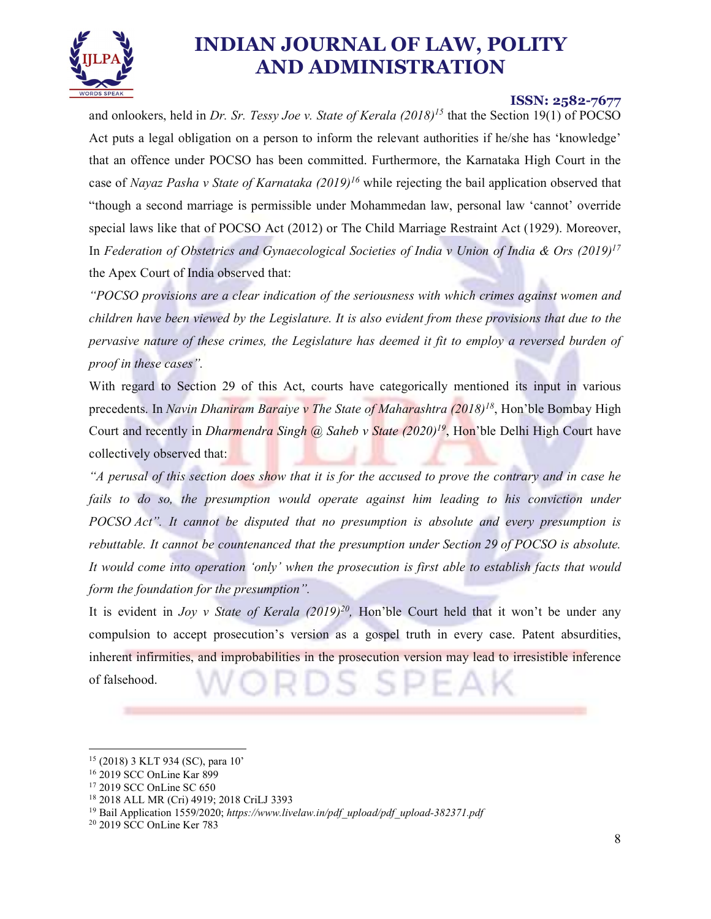

#### ISSN: 2582-7677

and onlookers, held in Dr. Sr. Tessy Joe v. State of Kerala  $(2018)^{15}$  that the Section 19(1) of POCSO Act puts a legal obligation on a person to inform the relevant authorities if he/she has 'knowledge' that an offence under POCSO has been committed. Furthermore, the Karnataka High Court in the case of Nayaz Pasha v State of Karnataka  $(2019)^{16}$  while rejecting the bail application observed that "though a second marriage is permissible under Mohammedan law, personal law 'cannot' override special laws like that of POCSO Act (2012) or The Child Marriage Restraint Act (1929). Moreover, In Federation of Obstetrics and Gynaecological Societies of India v Union of India & Ors (2019)<sup>17</sup> the Apex Court of India observed that:

"POCSO provisions are a clear indication of the seriousness with which crimes against women and children have been viewed by the Legislature. It is also evident from these provisions that due to the pervasive nature of these crimes, the Legislature has deemed it fit to employ a reversed burden of proof in these cases".

With regard to Section 29 of this Act, courts have categorically mentioned its input in various precedents. In Navin Dhaniram Baraiye v The State of Maharashtra  $(2018)^{18}$ , Hon'ble Bombay High Court and recently in *Dharmendra Singh @ Saheb v State (2020)<sup>19</sup>*, Hon'ble Delhi High Court have collectively observed that:

"A perusal of this section does show that it is for the accused to prove the contrary and in case he fails to do so, the presumption would operate against him leading to his conviction under POCSO Act". It cannot be disputed that no presumption is absolute and every presumption is rebuttable. It cannot be countenanced that the presumption under Section 29 of POCSO is absolute. It would come into operation 'only' when the prosecution is first able to establish facts that would form the foundation for the presumption".

It is evident in *Joy v State of Kerala (2019)<sup>20</sup>*, Hon'ble Court held that it won't be under any compulsion to accept prosecution's version as a gospel truth in every case. Patent absurdities, inherent infirmities, and improbabilities in the prosecution version may lead to irresistible inference of falsehood.

 <sup>15 (2018) 3</sup> KLT 934 (SC), para 10'

<sup>16 2019</sup> SCC OnLine Kar 899

<sup>&</sup>lt;sup>17</sup> 2019 SCC OnLine SC 650<br><sup>18</sup> 2018 ALL MR (Cri) 4919; 2018 CriLJ 3393<br><sup>19</sup> Bail Application 1559/2020; *https://www.livelaw.in/pdf\_upload/pdf\_upload-382371.pdf*<br><sup>20</sup> 2019 SCC OnLine Ker 783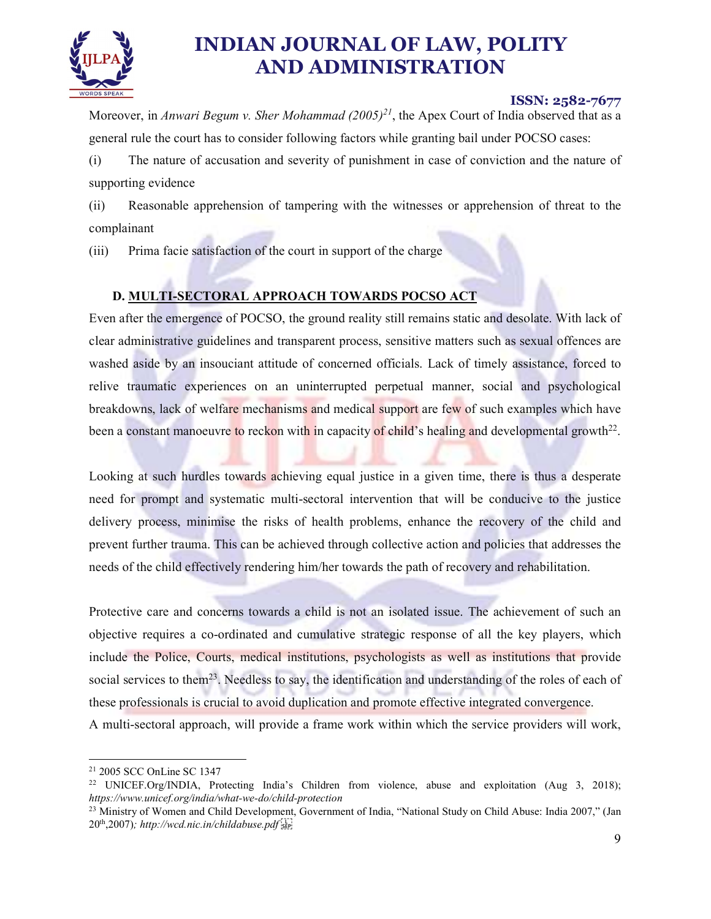

### ISSN: 2582-7677

Moreover, in Anwari Begum v. Sher Mohammad  $(2005)^{21}$ , the Apex Court of India observed that as a general rule the court has to consider following factors while granting bail under POCSO cases:

(i) The nature of accusation and severity of punishment in case of conviction and the nature of supporting evidence

(ii) Reasonable apprehension of tampering with the witnesses or apprehension of threat to the complainant

(iii) Prima facie satisfaction of the court in support of the charge

## D. MULTI-SECTORAL APPROACH TOWARDS POCSO ACT

Even after the emergence of POCSO, the ground reality still remains static and desolate. With lack of clear administrative guidelines and transparent process, sensitive matters such as sexual offences are washed aside by an insouciant attitude of concerned officials. Lack of timely assistance, forced to relive traumatic experiences on an uninterrupted perpetual manner, social and psychological breakdowns, lack of welfare mechanisms and medical support are few of such examples which have been a constant manoeuvre to reckon with in capacity of child's healing and developmental growth $^{22}$ .

. Looking at such hurdles towards achieving equal justice in a given time, there is thus a desperate need for prompt and systematic multi-sectoral intervention that will be conducive to the justice delivery process, minimise the risks of health problems, enhance the recovery of the child and prevent further trauma. This can be achieved through collective action and policies that addresses the needs of the child effectively rendering him/her towards the path of recovery and rehabilitation.

Protective care and concerns towards a child is not an isolated issue. The achievement of such an objective requires a co-ordinated and cumulative strategic response of all the key players, which include the Police, Courts, medical institutions, psychologists as well as institutions that provide social services to them<sup>23</sup>. Needless to say, the identification and understanding of the roles of each of these professionals is crucial to avoid duplication and promote effective integrated convergence. A multi-sectoral approach, will provide a frame work within which the service providers will work,

 <sup>21 2005</sup> SCC OnLine SC 1347

<sup>&</sup>lt;sup>22</sup> UNICEF.Org/INDIA, Protecting India's Children from violence, abuse and exploitation (Aug 3, 2018); https://www.unicef.org/india/what-we-do/child-protection

<sup>&</sup>lt;sup>23</sup> Ministry of Women and Child Development, Government of India, "National Study on Child Abuse: India 2007," (Jan  $20<sup>th</sup>, 2007$ ); http://wcd.nic.in/childabuse.pdf  $_{\rm SFR}$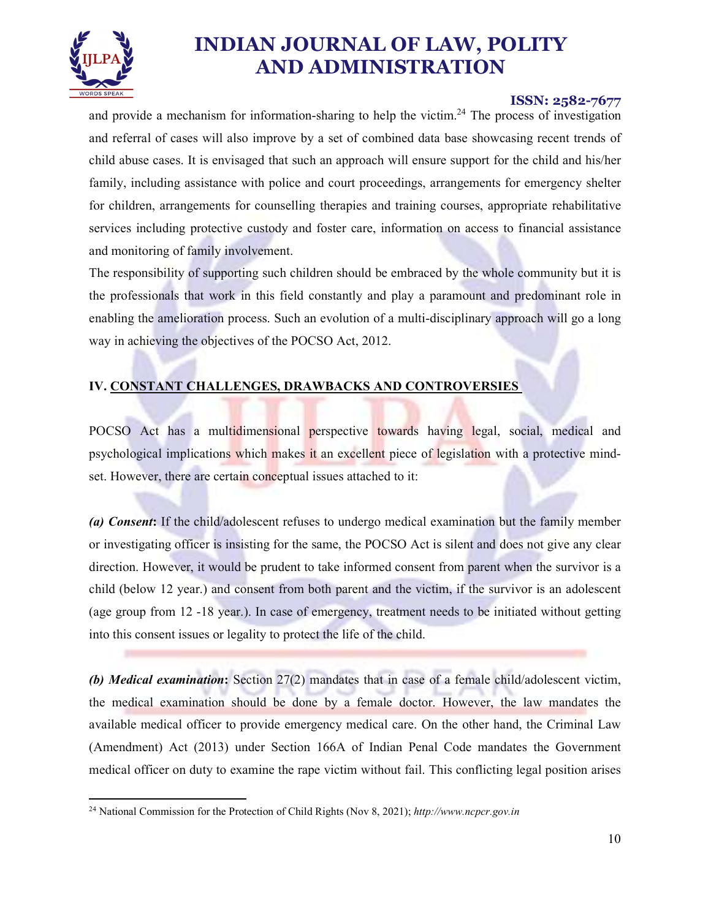

#### ISSN: 2582-7677

and provide a mechanism for information-sharing to help the victim.<sup>24</sup> The process of investigation and referral of cases will also improve by a set of combined data base showcasing recent trends of child abuse cases. It is envisaged that such an approach will ensure support for the child and his/her family, including assistance with police and court proceedings, arrangements for emergency shelter for children, arrangements for counselling therapies and training courses, appropriate rehabilitative services including protective custody and foster care, information on access to financial assistance and monitoring of family involvement.

The responsibility of supporting such children should be embraced by the whole community but it is the professionals that work in this field constantly and play a paramount and predominant role in enabling the amelioration process. Such an evolution of a multi-disciplinary approach will go a long way in achieving the objectives of the POCSO Act, 2012.

### IV. CONSTANT CHALLENGES, DRAWBACKS AND CONTROVERSIES

POCSO Act has a multidimensional perspective towards having legal, social, medical and psychological implications which makes it an excellent piece of legislation with a protective mindset. However, there are certain conceptual issues attached to it:

(a) Consent: If the child/adolescent refuses to undergo medical examination but the family member or investigating officer is insisting for the same, the POCSO Act is silent and does not give any clear direction. However, it would be prudent to take informed consent from parent when the survivor is a child (below 12 year.) and consent from both parent and the victim, if the survivor is an adolescent (age group from 12 -18 year.). In case of emergency, treatment needs to be initiated without getting into this consent issues or legality to protect the life of the child.

(b) Medical examination: Section 27(2) mandates that in case of a female child/adolescent victim, the medical examination should be done by a female doctor. However, the law mandates the available medical officer to provide emergency medical care. On the other hand, the Criminal Law (Amendment) Act (2013) under Section 166A of Indian Penal Code mandates the Government medical officer on duty to examine the rape victim without fail. This conflicting legal position arises

<sup>&</sup>lt;sup>24</sup> National Commission for the Protection of Child Rights (Nov 8, 2021); http://www.ncpcr.gov.in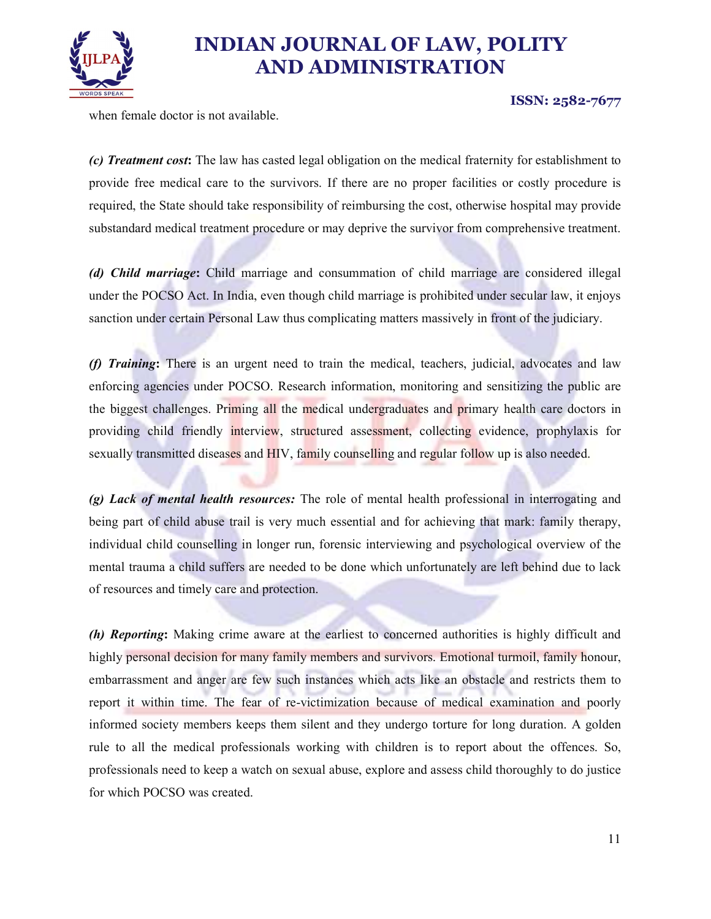

ISSN: 2582-7677

when female doctor is not available.

(c) Treatment cost: The law has casted legal obligation on the medical fraternity for establishment to provide free medical care to the survivors. If there are no proper facilities or costly procedure is required, the State should take responsibility of reimbursing the cost, otherwise hospital may provide substandard medical treatment procedure or may deprive the survivor from comprehensive treatment.

(d) Child marriage: Child marriage and consummation of child marriage are considered illegal under the POCSO Act. In India, even though child marriage is prohibited under secular law, it enjoys sanction under certain Personal Law thus complicating matters massively in front of the judiciary.

(f) Training: There is an urgent need to train the medical, teachers, judicial, advocates and law enforcing agencies under POCSO. Research information, monitoring and sensitizing the public are the biggest challenges. Priming all the medical undergraduates and primary health care doctors in providing child friendly interview, structured assessment, collecting evidence, prophylaxis for sexually transmitted diseases and HIV, family counselling and regular follow up is also needed.

(g) Lack of mental health resources: The role of mental health professional in interrogating and being part of child abuse trail is very much essential and for achieving that mark: family therapy, individual child counselling in longer run, forensic interviewing and psychological overview of the mental trauma a child suffers are needed to be done which unfortunately are left behind due to lack of resources and timely care and protection.

(h) Reporting: Making crime aware at the earliest to concerned authorities is highly difficult and highly personal decision for many family members and survivors. Emotional turmoil, family honour, embarrassment and anger are few such instances which acts like an obstacle and restricts them to report it within time. The fear of re-victimization because of medical examination and poorly informed society members keeps them silent and they undergo torture for long duration. A golden rule to all the medical professionals working with children is to report about the offences. So, professionals need to keep a watch on sexual abuse, explore and assess child thoroughly to do justice for which POCSO was created.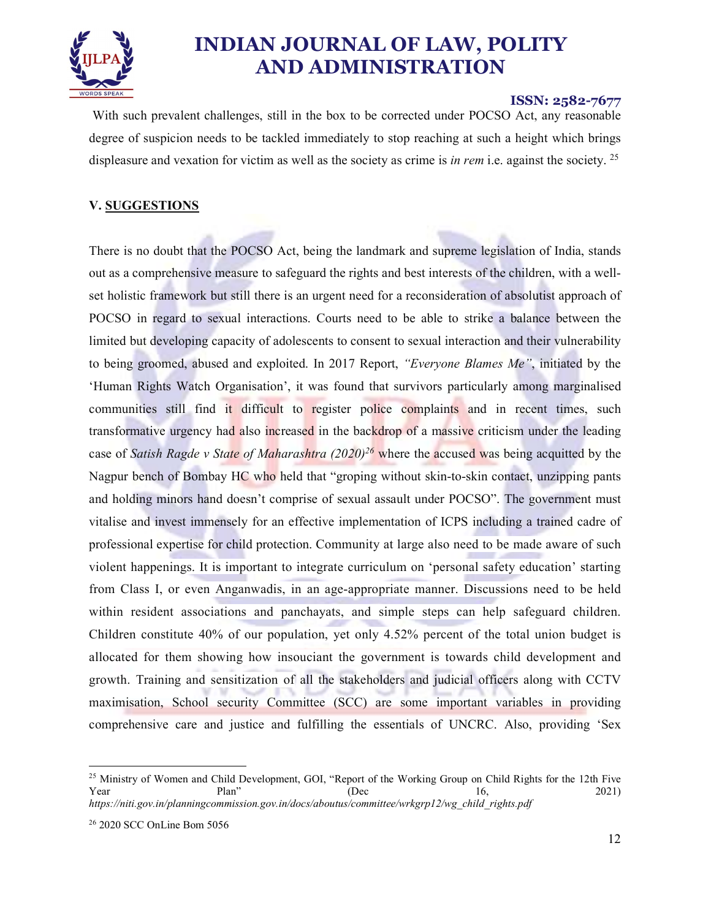

#### ISSN: 2582-7677

 With such prevalent challenges, still in the box to be corrected under POCSO Act, any reasonable degree of suspicion needs to be tackled immediately to stop reaching at such a height which brings displeasure and vexation for victim as well as the society as crime is in rem i.e. against the society.  $2^5$ 

#### V. SUGGESTIONS

There is no doubt that the POCSO Act, being the landmark and supreme legislation of India, stands out as a comprehensive measure to safeguard the rights and best interests of the children, with a wellset holistic framework but still there is an urgent need for a reconsideration of absolutist approach of POCSO in regard to sexual interactions. Courts need to be able to strike a balance between the limited but developing capacity of adolescents to consent to sexual interaction and their vulnerability to being groomed, abused and exploited. In 2017 Report, "Everyone Blames Me", initiated by the 'Human Rights Watch Organisation', it was found that survivors particularly among marginalised communities still find it difficult to register police complaints and in recent times, such transformative urgency had also increased in the backdrop of a massive criticism under the leading case of Satish Ragde v State of Maharashtra  $(2020)^{26}$  where the accused was being acquitted by the Nagpur bench of Bombay HC who held that "groping without skin-to-skin contact, unzipping pants and holding minors hand doesn't comprise of sexual assault under POCSO". The government must vitalise and invest immensely for an effective implementation of ICPS including a trained cadre of professional expertise for child protection. Community at large also need to be made aware of such violent happenings. It is important to integrate curriculum on 'personal safety education' starting from Class I, or even Anganwadis, in an age-appropriate manner. Discussions need to be held within resident associations and panchayats, and simple steps can help safeguard children. Children constitute 40% of our population, yet only 4.52% percent of the total union budget is allocated for them showing how insouciant the government is towards child development and growth. Training and sensitization of all the stakeholders and judicial officers along with CCTV maximisation, School security Committee (SCC) are some important variables in providing comprehensive care and justice and fulfilling the essentials of UNCRC. Also, providing 'Sex

<sup>&</sup>lt;sup>25</sup> Ministry of Women and Child Development, GOI, "Report of the Working Group on Child Rights for the 12th Five Year Plan" (Dec 16, 2021) https://niti.gov.in/planningcommission.gov.in/docs/aboutus/committee/wrkgrp12/wg\_child\_rights.pdf 26 2020 SCC OnLine Bom 5056